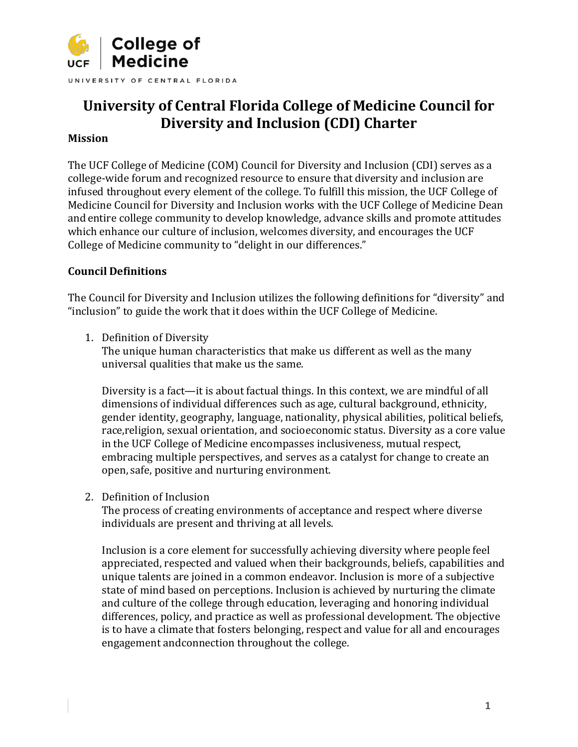

# **University of Central Florida College of Medicine Council for Diversity and Inclusion (CDI) Charter**

#### **Mission**

The UCF College of Medicine (COM) Council for Diversity and Inclusion (CDI) serves as a college-wide forum and recognized resource to ensure that diversity and inclusion are infused throughout every element of the college. To fulfill this mission, the UCF College of Medicine Council for Diversity and Inclusion works with the UCF College of Medicine Dean and entire college community to develop knowledge, advance skills and promote attitudes which enhance our culture of inclusion, welcomes diversity, and encourages the UCF College of Medicine community to "delight in our differences."

#### **Council Definitions**

The Council for Diversity and Inclusion utilizes the following definitions for "diversity" and "inclusion" to guide the work that it does within the UCF College of Medicine.

1. Definition of Diversity

The unique human characteristics that make us different as well as the many universal qualities that make us the same.

Diversity is a fact—it is about factual things. In this context, we are mindful of all dimensions of individual differences such as age, cultural background, ethnicity, gender identity, geography, language, nationality, physical abilities, political beliefs, race,religion, sexual orientation, and socioeconomic status. Diversity as a core value in the UCF College of Medicine encompasses inclusiveness, mutual respect, embracing multiple perspectives, and serves as a catalyst for change to create an open, safe, positive and nurturing environment.

2. Definition of Inclusion

The process of creating environments of acceptance and respect where diverse individuals are present and thriving at all levels.

Inclusion is a core element for successfully achieving diversity where people feel appreciated, respected and valued when their backgrounds, beliefs, capabilities and unique talents are joined in a common endeavor. Inclusion is more of a subjective state of mind based on perceptions. Inclusion is achieved by nurturing the climate and culture of the college through education, leveraging and honoring individual differences, policy, and practice as well as professional development. The objective is to have a climate that fosters belonging, respect and value for all and encourages engagement andconnection throughout the college.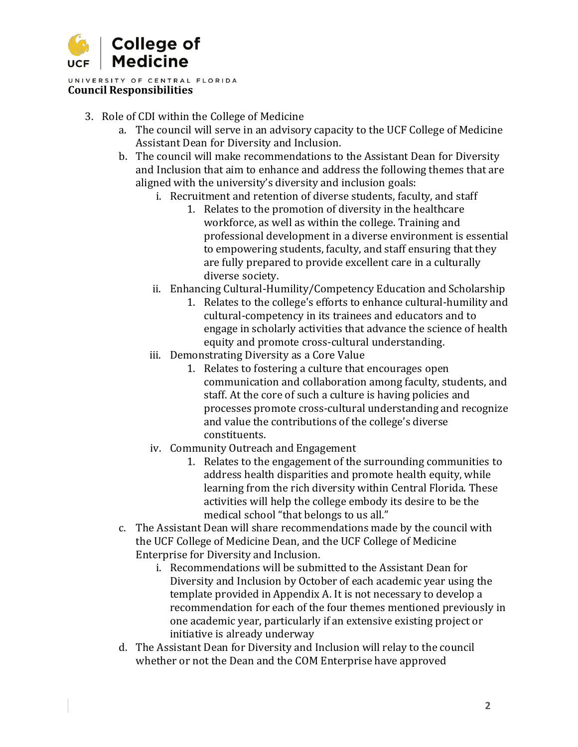

UNIVERSITY OF CENTRAL FLORIDA **Council Responsibilities**

- 3. Role of CDI within the College of Medicine
	- a. The council will serve in an advisory capacity to the UCF College of Medicine Assistant Dean for Diversity and Inclusion.
	- b. The council will make recommendations to the Assistant Dean for Diversity and Inclusion that aim to enhance and address the following themes that are aligned with the university's diversity and inclusion goals:
		- i. Recruitment and retention of diverse students, faculty, and staff
			- 1. Relates to the promotion of diversity in the healthcare workforce, as well as within the college. Training and professional development in a diverse environment is essential to empowering students, faculty, and staff ensuring that they are fully prepared to provide excellent care in a culturally diverse society.
		- ii. Enhancing Cultural-Humility/Competency Education and Scholarship
			- 1. Relates to the college's efforts to enhance cultural-humility and cultural-competency in its trainees and educators and to engage in scholarly activities that advance the science of health equity and promote cross-cultural understanding.
		- iii. Demonstrating Diversity as a Core Value
			- 1. Relates to fostering a culture that encourages open communication and collaboration among faculty, students, and staff. At the core of such a culture is having policies and processes promote cross-cultural understanding and recognize and value the contributions of the college's diverse constituents.
		- iv. Community Outreach and Engagement
			- 1. Relates to the engagement of the surrounding communities to address health disparities and promote health equity, while learning from the rich diversity within Central Florida. These activities will help the college embody its desire to be the medical school "that belongs to us all."
	- c. The Assistant Dean will share recommendations made by the council with the UCF College of Medicine Dean, and the UCF College of Medicine Enterprise for Diversity and Inclusion.
		- i. Recommendations will be submitted to the Assistant Dean for Diversity and Inclusion by October of each academic year using the template provided in Appendix A. It is not necessary to develop a recommendation for each of the four themes mentioned previously in one academic year, particularly if an extensive existing project or initiative is already underway
	- d. The Assistant Dean for Diversity and Inclusion will relay to the council whether or not the Dean and the COM Enterprise have approved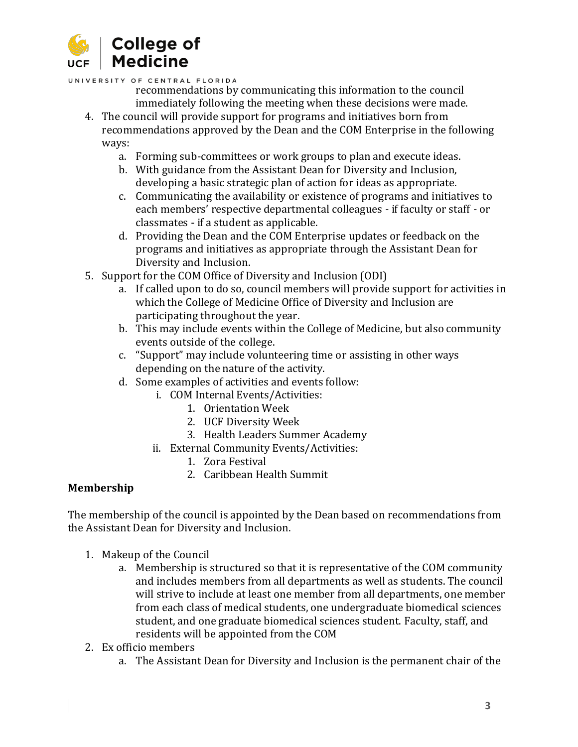

UNIVERSITY OF CENTRAL FLORIDA

- recommendations by communicating this information to the council immediately following the meeting when these decisions were made.
- 4. The council will provide support for programs and initiatives born from recommendations approved by the Dean and the COM Enterprise in the following ways:
	- a. Forming sub-committees or work groups to plan and execute ideas.
	- b. With guidance from the Assistant Dean for Diversity and Inclusion, developing a basic strategic plan of action for ideas as appropriate.
	- c. Communicating the availability or existence of programs and initiatives to each members' respective departmental colleagues - if faculty or staff - or classmates - if a student as applicable.
	- d. Providing the Dean and the COM Enterprise updates or feedback on the programs and initiatives as appropriate through the Assistant Dean for Diversity and Inclusion.
- 5. Support for the COM Office of Diversity and Inclusion (ODI)
	- a. If called upon to do so, council members will provide support for activities in which the College of Medicine Office of Diversity and Inclusion are participating throughout the year.
	- b. This may include events within the College of Medicine, but also community events outside of the college.
	- c. "Support" may include volunteering time or assisting in other ways depending on the nature of the activity.
	- d. Some examples of activities and events follow:
		- i. COM Internal Events/Activities:
			- 1. Orientation Week
			- 2. UCF Diversity Week
			- 3. Health Leaders Summer Academy
		- ii. External Community Events/Activities:
			- 1. Zora Festival
			- 2. Caribbean Health Summit

### **Membership**

The membership of the council is appointed by the Dean based on recommendations from the Assistant Dean for Diversity and Inclusion.

- 1. Makeup of the Council
	- a. Membership is structured so that it is representative of the COM community and includes members from all departments as well as students. The council will strive to include at least one member from all departments, one member from each class of medical students, one undergraduate biomedical sciences student, and one graduate biomedical sciences student. Faculty, staff, and residents will be appointed from the COM
- 2. Ex officio members
	- a. The Assistant Dean for Diversity and Inclusion is the permanent chair of the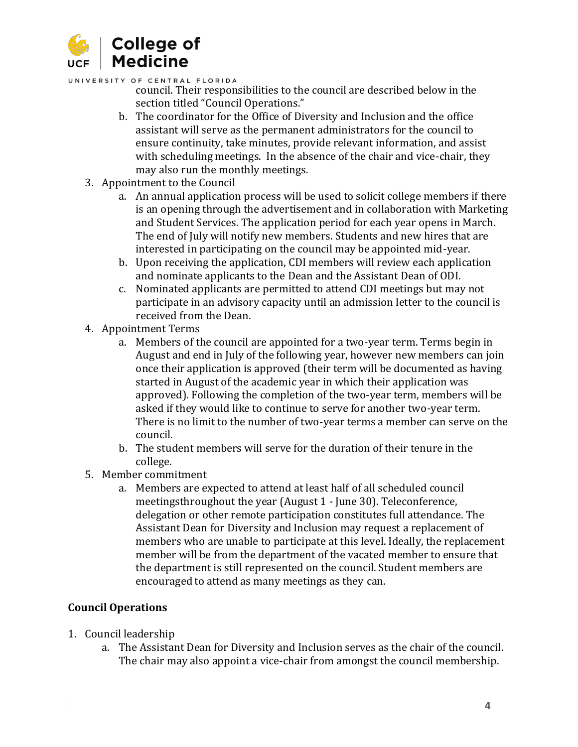

#### UNIVERSITY OF CENTRAL FLORIDA

- council. Their responsibilities to the council are described below in the section titled "Council Operations."
- b. The coordinator for the Office of Diversity and Inclusion and the office assistant will serve as the permanent administrators for the council to ensure continuity, take minutes, provide relevant information, and assist with scheduling meetings. In the absence of the chair and vice-chair, they may also run the monthly meetings.
- 3. Appointment to the Council
	- a. An annual application process will be used to solicit college members if there is an opening through the advertisement and in collaboration with Marketing and Student Services. The application period for each year opens in March. The end of July will notify new members. Students and new hires that are interested in participating on the council may be appointed mid-year.
	- b. Upon receiving the application, CDI members will review each application and nominate applicants to the Dean and the Assistant Dean of ODI.
	- c. Nominated applicants are permitted to attend CDI meetings but may not participate in an advisory capacity until an admission letter to the council is received from the Dean.
- 4. Appointment Terms
	- a. Members of the council are appointed for a two-year term. Terms begin in August and end in July of the following year, however new members can join once their application is approved (their term will be documented as having started in August of the academic year in which their application was approved). Following the completion of the two-year term, members will be asked if they would like to continue to serve for another two-year term. There is no limit to the number of two-year terms a member can serve on the council.
	- b. The student members will serve for the duration of their tenure in the college.
- 5. Member commitment
	- a. Members are expected to attend at least half of all scheduled council meetingsthroughout the year (August 1 - June 30). Teleconference, delegation or other remote participation constitutes full attendance. The Assistant Dean for Diversity and Inclusion may request a replacement of members who are unable to participate at this level. Ideally, the replacement member will be from the department of the vacated member to ensure that the department is still represented on the council. Student members are encouraged to attend as many meetings as they can.

### **Council Operations**

- 1. Council leadership
	- a. The Assistant Dean for Diversity and Inclusion serves as the chair of the council. The chair may also appoint a vice-chair from amongst the council membership.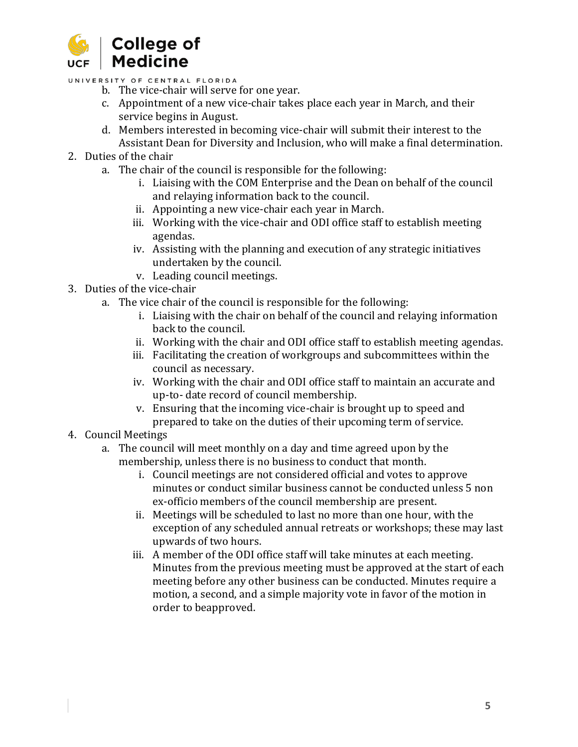

UNIVERSITY OF CENTRAL FLORIDA

- b. The vice-chair will serve for one year.
- c. Appointment of a new vice-chair takes place each year in March, and their service begins in August.
- d. Members interested in becoming vice-chair will submit their interest to the Assistant Dean for Diversity and Inclusion, who will make a final determination.
- 2. Duties of the chair
	- a. The chair of the council is responsible for the following:
		- i. Liaising with the COM Enterprise and the Dean on behalf of the council and relaying information back to the council.
		- ii. Appointing a new vice-chair each year in March.
		- iii. Working with the vice-chair and ODI office staff to establish meeting agendas.
		- iv. Assisting with the planning and execution of any strategic initiatives undertaken by the council.
		- v. Leading council meetings.
- 3. Duties of the vice-chair
	- a. The vice chair of the council is responsible for the following:
		- i. Liaising with the chair on behalf of the council and relaying information back to the council.
		- ii. Working with the chair and ODI office staff to establish meeting agendas.
		- iii. Facilitating the creation of workgroups and subcommittees within the council as necessary.
		- iv. Working with the chair and ODI office staff to maintain an accurate and up-to- date record of council membership.
		- v. Ensuring that the incoming vice-chair is brought up to speed and prepared to take on the duties of their upcoming term of service.
- 4. Council Meetings
	- a. The council will meet monthly on a day and time agreed upon by the membership, unless there is no business to conduct that month.
		- i. Council meetings are not considered official and votes to approve minutes or conduct similar business cannot be conducted unless 5 non ex-officio members of the council membership are present.
		- ii. Meetings will be scheduled to last no more than one hour, with the exception of any scheduled annual retreats or workshops; these may last upwards of two hours.
		- iii. A member of the ODI office staff will take minutes at each meeting. Minutes from the previous meeting must be approved at the start of each meeting before any other business can be conducted. Minutes require a motion, a second, and a simple majority vote in favor of the motion in order to beapproved.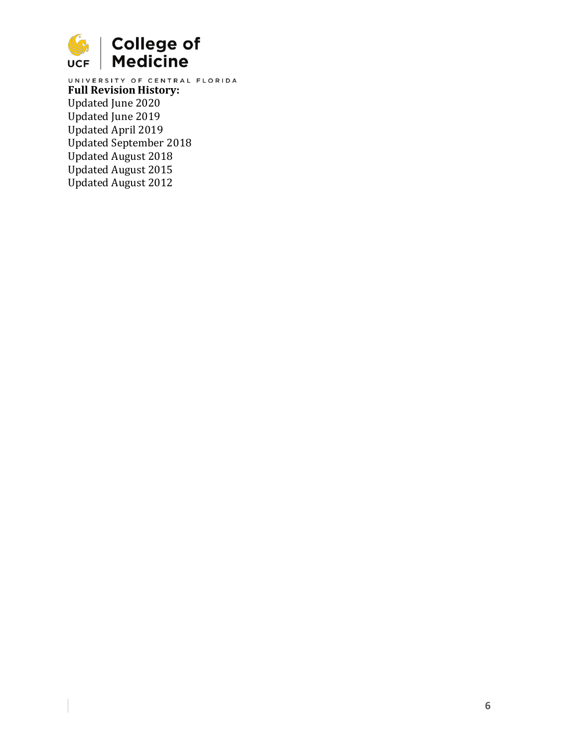

**Full Revision History:** Updated June 2020 Updated June 2019 Updated April 2019 Updated September 2018 Updated August 2018 Updated August 2015 Updated August 2012